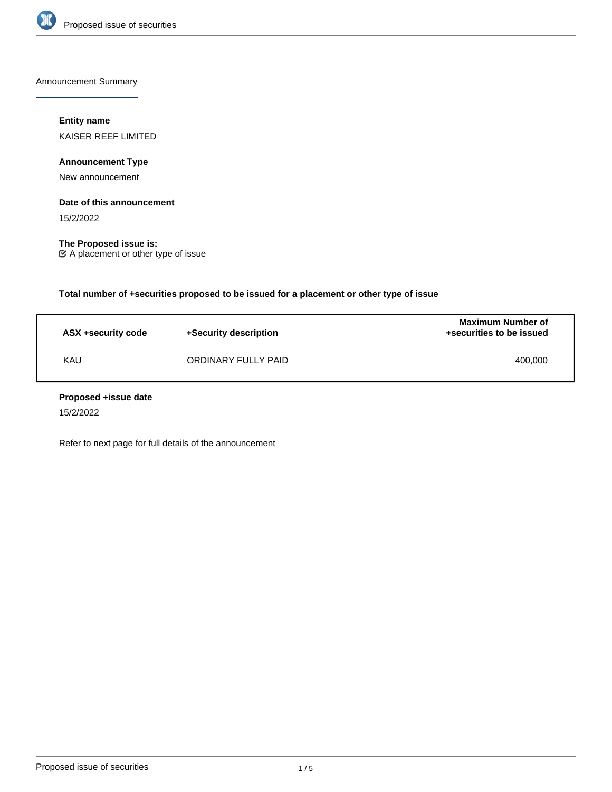

Announcement Summary

# **Entity name**

KAISER REEF LIMITED

**Announcement Type**

New announcement

## **Date of this announcement**

15/2/2022

**The Proposed issue is:** A placement or other type of issue

**Total number of +securities proposed to be issued for a placement or other type of issue**

| ASX +security code | +Security description | <b>Maximum Number of</b><br>+securities to be issued |
|--------------------|-----------------------|------------------------------------------------------|
| KAU                | ORDINARY FULLY PAID   | 400.000                                              |

#### **Proposed +issue date**

15/2/2022

Refer to next page for full details of the announcement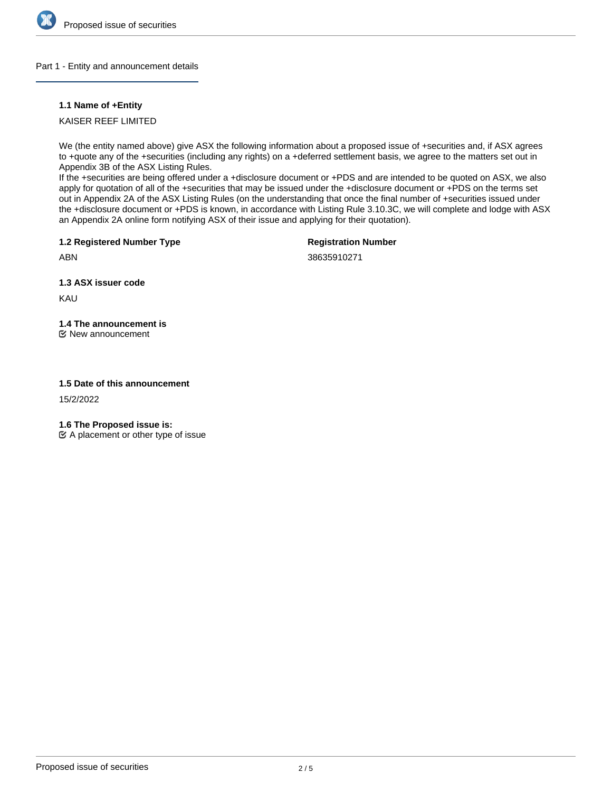

## Part 1 - Entity and announcement details

## **1.1 Name of +Entity**

KAISER REEF LIMITED

We (the entity named above) give ASX the following information about a proposed issue of +securities and, if ASX agrees to +quote any of the +securities (including any rights) on a +deferred settlement basis, we agree to the matters set out in Appendix 3B of the ASX Listing Rules.

If the +securities are being offered under a +disclosure document or +PDS and are intended to be quoted on ASX, we also apply for quotation of all of the +securities that may be issued under the +disclosure document or +PDS on the terms set out in Appendix 2A of the ASX Listing Rules (on the understanding that once the final number of +securities issued under the +disclosure document or +PDS is known, in accordance with Listing Rule 3.10.3C, we will complete and lodge with ASX an Appendix 2A online form notifying ASX of their issue and applying for their quotation).

**1.2 Registered Number Type**

**Registration Number**

38635910271

**1.3 ASX issuer code**

KAU

ABN

# **1.4 The announcement is**

New announcement

## **1.5 Date of this announcement**

15/2/2022

**1.6 The Proposed issue is:**

 $\mathfrak{C}$  A placement or other type of issue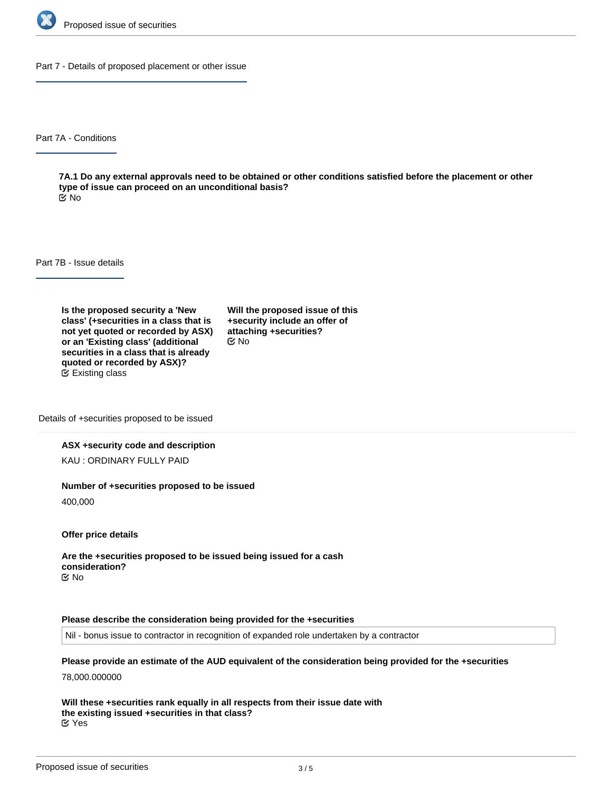

Part 7 - Details of proposed placement or other issue

Part 7A - Conditions

**7A.1 Do any external approvals need to be obtained or other conditions satisfied before the placement or other type of issue can proceed on an unconditional basis?** No

Part 7B - Issue details

**Is the proposed security a 'New class' (+securities in a class that is not yet quoted or recorded by ASX) or an 'Existing class' (additional securities in a class that is already quoted or recorded by ASX)?** Existing class

**Will the proposed issue of this +security include an offer of attaching +securities?** No

Details of +securities proposed to be issued

#### **ASX +security code and description**

KAU : ORDINARY FULLY PAID

#### **Number of +securities proposed to be issued**

400,000

**Offer price details**

**Are the +securities proposed to be issued being issued for a cash consideration?** No

#### **Please describe the consideration being provided for the +securities**

Nil - bonus issue to contractor in recognition of expanded role undertaken by a contractor

**Please provide an estimate of the AUD equivalent of the consideration being provided for the +securities**

78,000.000000

**Will these +securities rank equally in all respects from their issue date with the existing issued +securities in that class?** Yes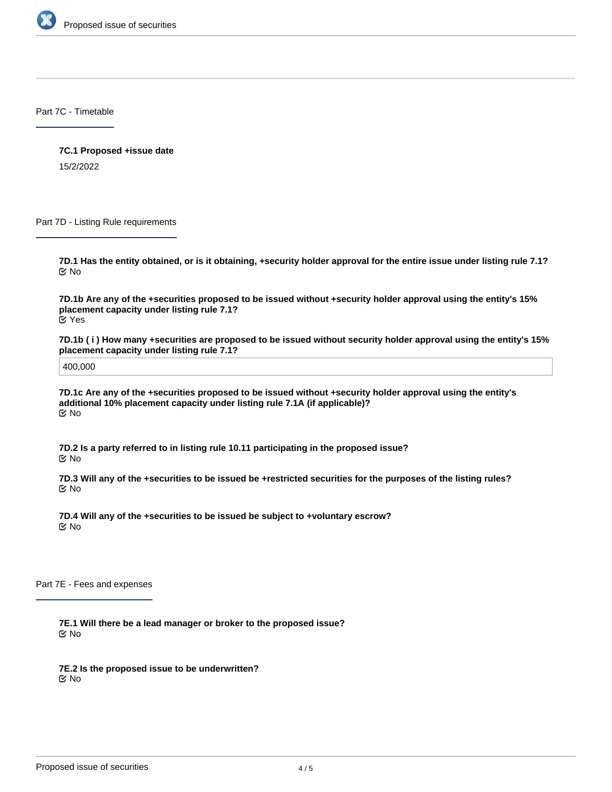

Part 7C - Timetable

**7C.1 Proposed +issue date** 15/2/2022

Part 7D - Listing Rule requirements

**7D.1 Has the entity obtained, or is it obtaining, +security holder approval for the entire issue under listing rule 7.1?** No

**7D.1b Are any of the +securities proposed to be issued without +security holder approval using the entity's 15% placement capacity under listing rule 7.1?** Yes

**7D.1b ( i ) How many +securities are proposed to be issued without security holder approval using the entity's 15% placement capacity under listing rule 7.1?**

400,000

**7D.1c Are any of the +securities proposed to be issued without +security holder approval using the entity's additional 10% placement capacity under listing rule 7.1A (if applicable)?** No

**7D.2 Is a party referred to in listing rule 10.11 participating in the proposed issue?** No

**7D.3 Will any of the +securities to be issued be +restricted securities for the purposes of the listing rules?** No

**7D.4 Will any of the +securities to be issued be subject to +voluntary escrow?** No

Part 7E - Fees and expenses

**7E.1 Will there be a lead manager or broker to the proposed issue?** No

**7E.2 Is the proposed issue to be underwritten?** No